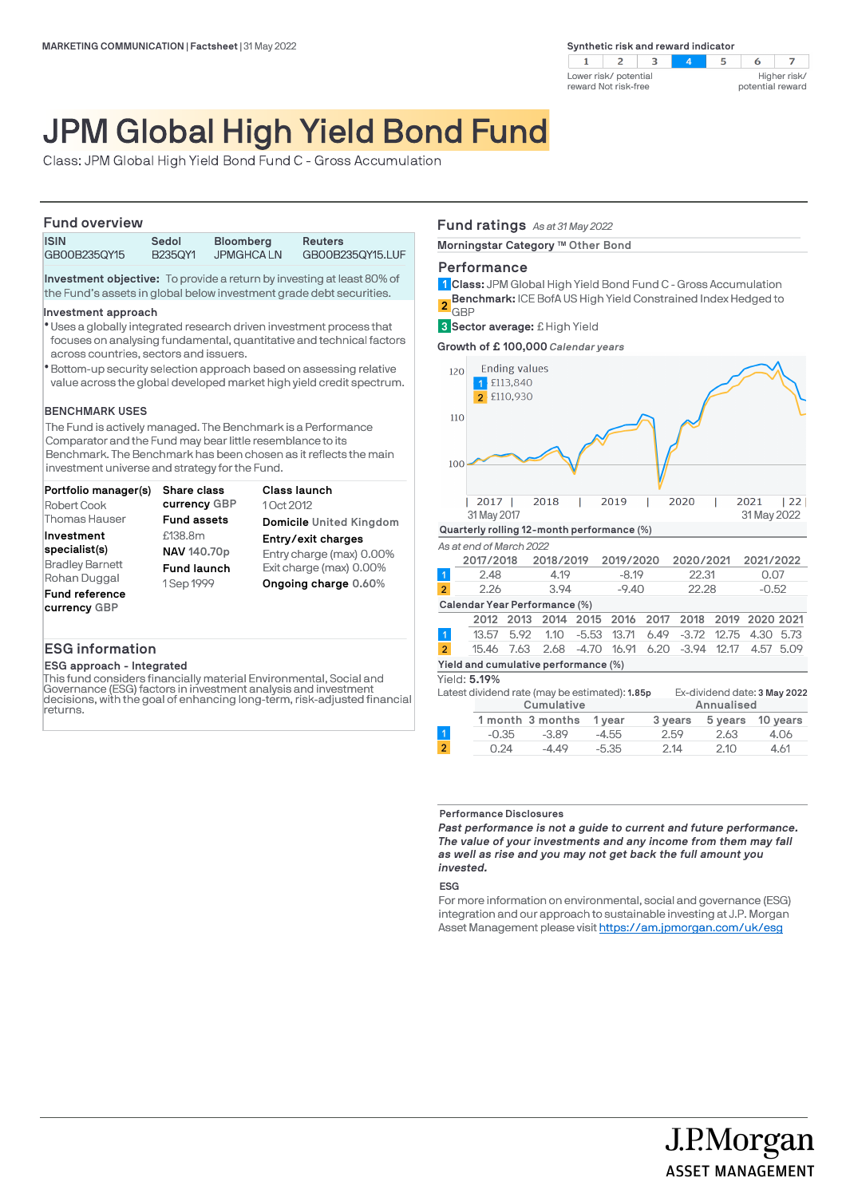

# JPM Global High Yield Bond Fund

Class: JPM Global High Yield Bond Fund C - Gross Accumulation

### **Fund overview**

| .            |         |                  |                  |  |
|--------------|---------|------------------|------------------|--|
| <b>ISIN</b>  | Sedol   | <b>Bloomberg</b> | <b>Reuters</b>   |  |
| GB00B235QY15 | B2350Y1 | <b>JPMGHCALN</b> | GB00B235QY15.LUF |  |

**Investment objective:** To provide a return by investing at least 80% of the Fund's assets in global below investment grade debt securities.

### **Investment approach**

- Uses a globally integrated research driven investment process that l focuses on analysing fundamental, quantitative and technical factors across countries, sectors and issuers.
- Bottom-up security selection approach based on assessing relative l value across the global developed market high yield credit spectrum.

### **BENCHMARK USES**

The Fund is actively managed. The Benchmark is a Performance Comparator and the Fund may bear little resemblance to its Benchmark. The Benchmark has been chosen as it reflects the main investment universe and strategy for the Fund.

| Portfolio manager(s)   | <b>Share class</b> | <b>Class launch</b>            |
|------------------------|--------------------|--------------------------------|
| Robert Cook            | currency GBP       | 10ct 2012                      |
| <b>Thomas Hauser</b>   | <b>Fund assets</b> | <b>Domicile United Kingdom</b> |
| Investment             | £138.8m            | Entry/exit charges             |
| specialist(s)          | NAV 140.70p        | Entry charge (max) 0.00%       |
| <b>Bradley Barnett</b> | <b>Fund launch</b> | Exit charge (max) 0.00%        |
| Rohan Duggal           | 1 Sep 1999         | Ongoing charge 0.60%           |
| <b>Fund reference</b>  |                    |                                |
| currency GBP           |                    |                                |

### **ESG information**

### **ESG approach - Integrated**

This fund considers financially material Environmental, Social and Governance (ESG) factors in investment analysis and investment decisions, with the goal of enhancing long-term, risk-adjusted financial **returns** 

### **Fund ratings** *As at 31 May 2022*

**Morningstar Category TM Other Bond**

### **Performance**

**Class:** JPM Global High Yield Bond Fund C - Gross Accumulation **1 Benchmark:** ICE BofA US High Yield Constrained Index Hedged to **GBP 2**

**Sector average:** £ High Yield **3**

**Growth of £ 100,000** *Calendar years*



| Latest dividend rate (may be estimated): <b>1.85p</b> |  |            |                  |         |            | Ex-dividend date: 3 May 2022 |         |          |
|-------------------------------------------------------|--|------------|------------------|---------|------------|------------------------------|---------|----------|
|                                                       |  | Cumulative |                  |         | Annualised |                              |         |          |
|                                                       |  |            | 1 month 3 months | 1 year  | 3 years    |                              | 5 years | 10 years |
|                                                       |  | $-0.35$    | $-3.89$          | $-4.55$ |            | 2.59                         | 2.63    | 4.06     |
| $\overline{2}$                                        |  | 0.24       | $-4.49$          | $-5.35$ | 2.14       |                              | 2.10    | 4.61     |

### **Performance Disclosures**

*Past performance is not a guide to current and future performance. The value of your investments and any income from them may fall as well as rise and you may not get back the full amount you invested.* 

### **ESG**

For more information on environmental, social and governance (ESG) integration and our approach to sustainable investing at J.P. Morgan Asset Management please visit https://am.jpmorgan.com/uk/esg

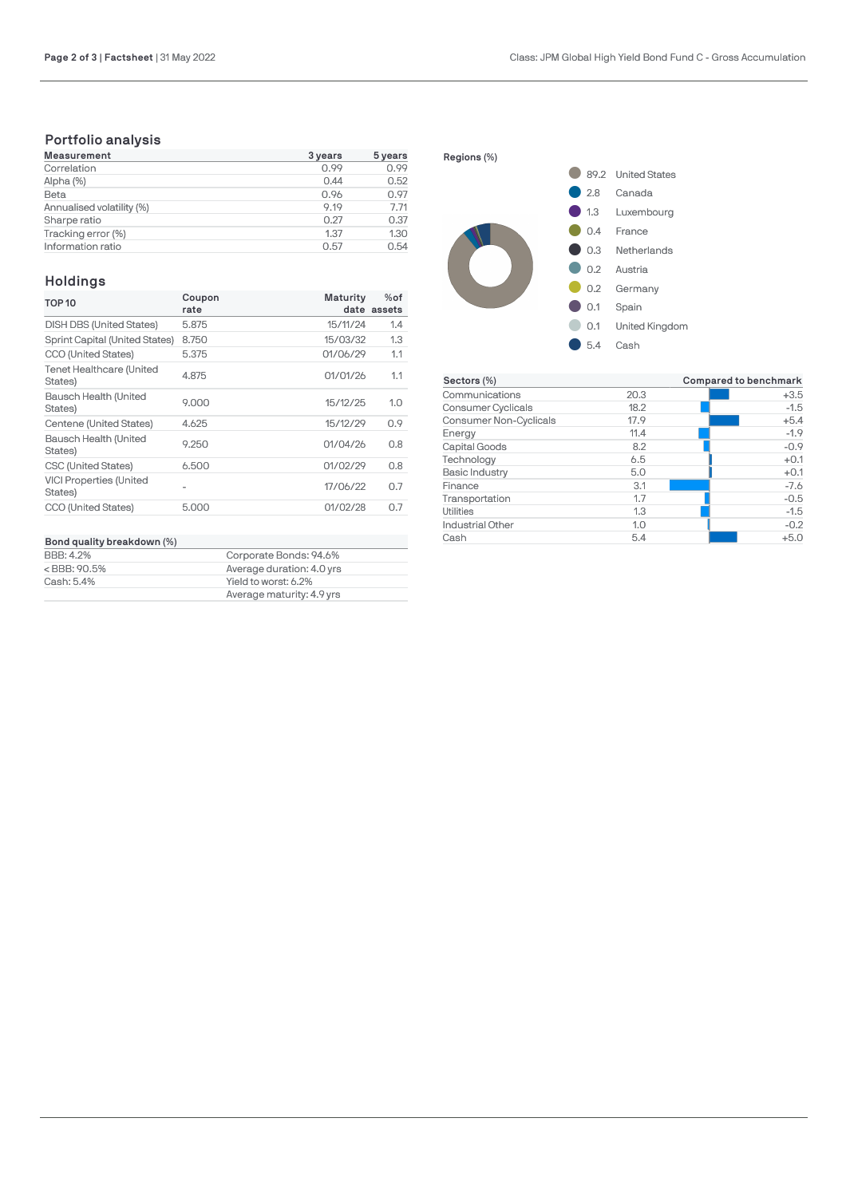## **Portfolio analysis**

| <b>Measurement</b>        | 3 years | 5 years |
|---------------------------|---------|---------|
| Correlation               | 0.99    | 0.99    |
| Alpha (%)                 | 0.44    | 0.52    |
| Beta                      | 0.96    | 0.97    |
| Annualised volatility (%) | 9.19    | 7.71    |
| Sharpe ratio              | 0.27    | 0.37    |
| Tracking error (%)        | 1.37    | 1.30    |
| Information ratio         | 0.57    | 0.54    |

### **Holdings**

| <b>TOP 10</b>                             | Coupon | Maturity | $%$ of      |
|-------------------------------------------|--------|----------|-------------|
|                                           | rate   |          | date assets |
| <b>DISH DBS (United States)</b>           | 5.875  | 15/11/24 | 1.4         |
| Sprint Capital (United States)            | 8.750  | 15/03/32 | 1.3         |
| CCO (United States)                       | 5.375  | 01/06/29 | 1.1         |
| Tenet Healthcare (United<br>States)       | 4.875  | 01/01/26 | 1.1         |
| Bausch Health (United<br>States)          | 9.000  | 15/12/25 | 1.0         |
| Centene (United States)                   | 4.625  | 15/12/29 | 0.9         |
| Bausch Health (United<br>States)          | 9.250  | 01/04/26 | 0.8         |
| CSC (United States)                       | 6.500  | 01/02/29 | 0.8         |
| <b>VICI Properties (United</b><br>States) |        | 17/06/22 | 0.7         |
| CCO (United States)                       | 5.000  | 01/02/28 | 0.7         |
|                                           |        |          |             |

# **Bond quality breakdown (%)**

| <b>BBB: 4.2%</b><br><bbb: 90.5%<="" th=""><th>Corporate Bonds: 94.6%<br/>Average duration: 4.0 yrs</th></bbb:> | Corporate Bonds: 94.6%<br>Average duration: 4.0 yrs |
|----------------------------------------------------------------------------------------------------------------|-----------------------------------------------------|
| Cash: 5.4%                                                                                                     | Yield to worst: 6.2%                                |
|                                                                                                                | Average maturity: 4.9 yrs                           |



| Sectors (%)            |      | Compared to benchmark |
|------------------------|------|-----------------------|
| Communications         | 20.3 | $+3.5$                |
| Consumer Cyclicals     | 18.2 | $-1.5$                |
| Consumer Non-Cyclicals | 17.9 | $+5.4$                |
| Energy                 | 11.4 | $-1.9$                |
| Capital Goods          | 8.2  | $-0.9$                |
| Technology             | 6.5  | $+0.1$                |
| Basic Industry         | 5.0  | $+0.1$                |
| Finance                | 3.1  | $-7.6$                |
| Transportation         | 1.7  | $-0.5$                |
| Utilities              | 1.3  | $-1.5$                |
| Industrial Other       | 1.0  | $-0.2$                |
| Cash                   | 5.4  | $+5.0$                |